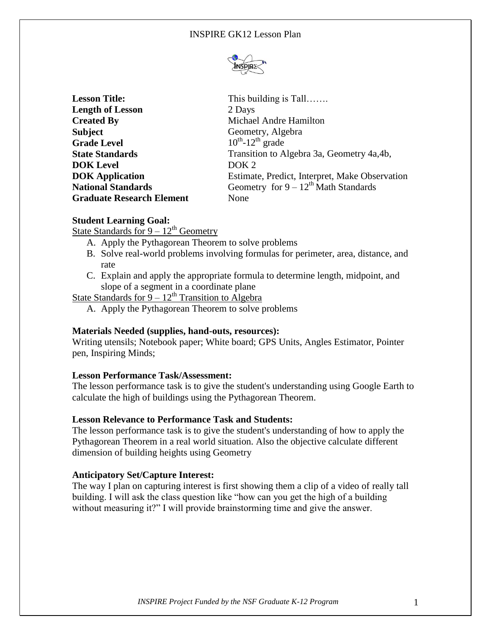

| This building is Tall                          |
|------------------------------------------------|
| 2 Days                                         |
| Michael Andre Hamilton                         |
| Geometry, Algebra                              |
| $10^{th}$ -12 <sup>th</sup> grade              |
| Transition to Algebra 3a, Geometry 4a, 4b,     |
| DOK <sub>2</sub>                               |
| Estimate, Predict, Interpret, Make Observation |
| Geometry for $9 - 12^{th}$ Math Standards      |
| None                                           |
|                                                |

# **Student Learning Goal:**

State Standards for  $9 - 12<sup>th</sup>$  Geometry

- A. Apply the Pythagorean Theorem to solve problems
- B. Solve real-world problems involving formulas for perimeter, area, distance, and rate
- C. Explain and apply the appropriate formula to determine length, midpoint, and slope of a segment in a coordinate plane

State Standards for  $\frac{9-12^{\text{th}}}{2}$  Transition to Algebra

A. Apply the Pythagorean Theorem to solve problems

## **Materials Needed (supplies, hand-outs, resources):**

Writing utensils; Notebook paper; White board; GPS Units, Angles Estimator, Pointer pen, Inspiring Minds;

### **Lesson Performance Task/Assessment:**

The lesson performance task is to give the student's understanding using Google Earth to calculate the high of buildings using the Pythagorean Theorem.

#### **Lesson Relevance to Performance Task and Students:**

The lesson performance task is to give the student's understanding of how to apply the Pythagorean Theorem in a real world situation. Also the objective calculate different dimension of building heights using Geometry

## **Anticipatory Set/Capture Interest:**

The way I plan on capturing interest is first showing them a clip of a video of really tall building. I will ask the class question like "how can you get the high of a building without measuring it?" I will provide brainstorming time and give the answer.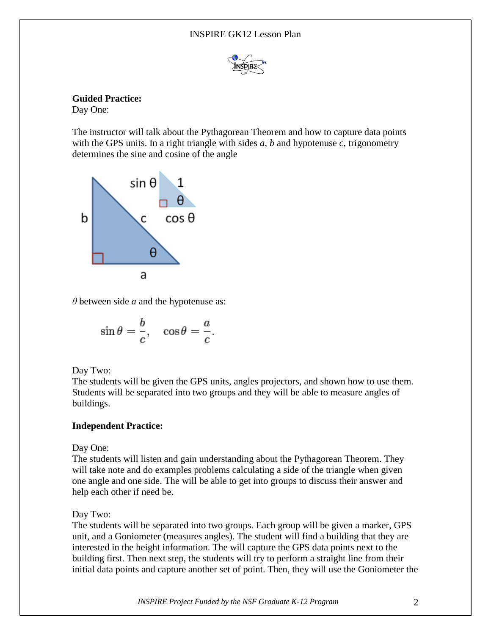### INSPIRE GK12 Lesson Plan



**Guided Practice:**

Day One:

The instructor will talk about the Pythagorean Theorem and how to capture data points with the GPS units. In a right triangle with sides *a*, *b* and hypotenuse *c*, trigonometry determines the sine and cosine of the angle



*θ* between side *a* and the hypotenuse as:

$$
\sin \theta = \frac{b}{c}, \quad \cos \theta = \frac{a}{c}.
$$

Day Two:

The students will be given the GPS units, angles projectors, and shown how to use them. Students will be separated into two groups and they will be able to measure angles of buildings.

# **Independent Practice:**

Day One:

The students will listen and gain understanding about the Pythagorean Theorem. They will take note and do examples problems calculating a side of the triangle when given one angle and one side. The will be able to get into groups to discuss their answer and help each other if need be.

Day Two:

The students will be separated into two groups. Each group will be given a marker, GPS unit, and a Goniometer (measures angles). The student will find a building that they are interested in the height information. The will capture the GPS data points next to the building first. Then next step, the students will try to perform a straight line from their initial data points and capture another set of point. Then, they will use the Goniometer the